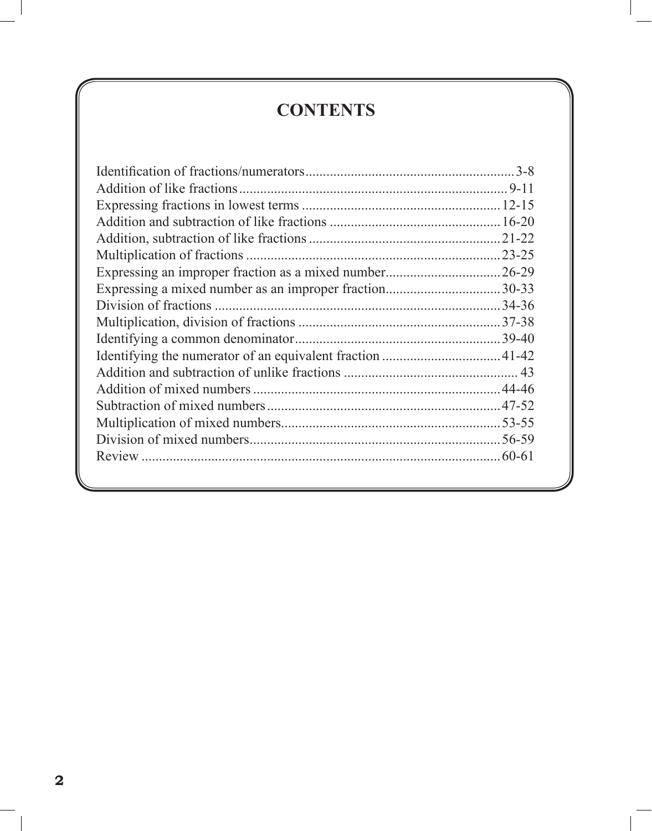## **CONTENTS**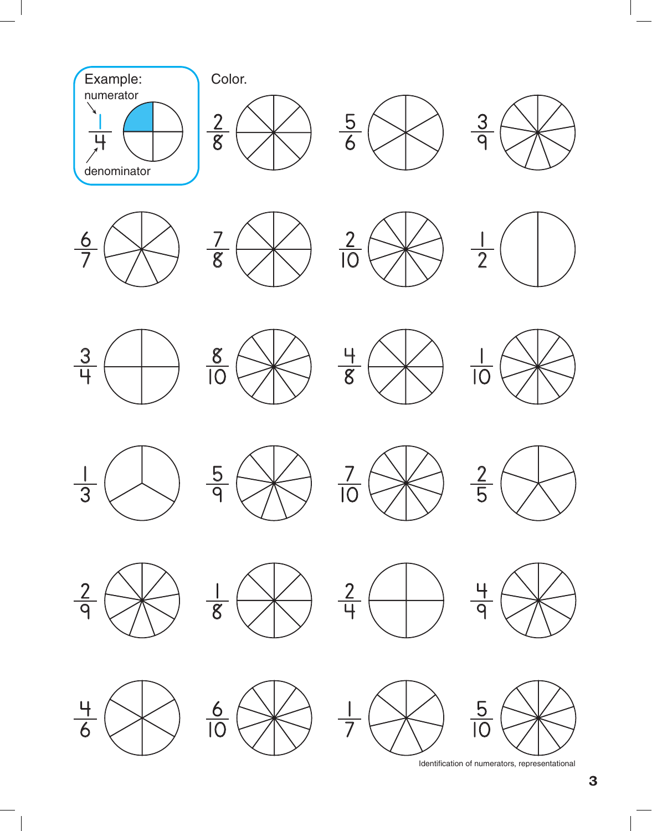

Identification of numerators, representational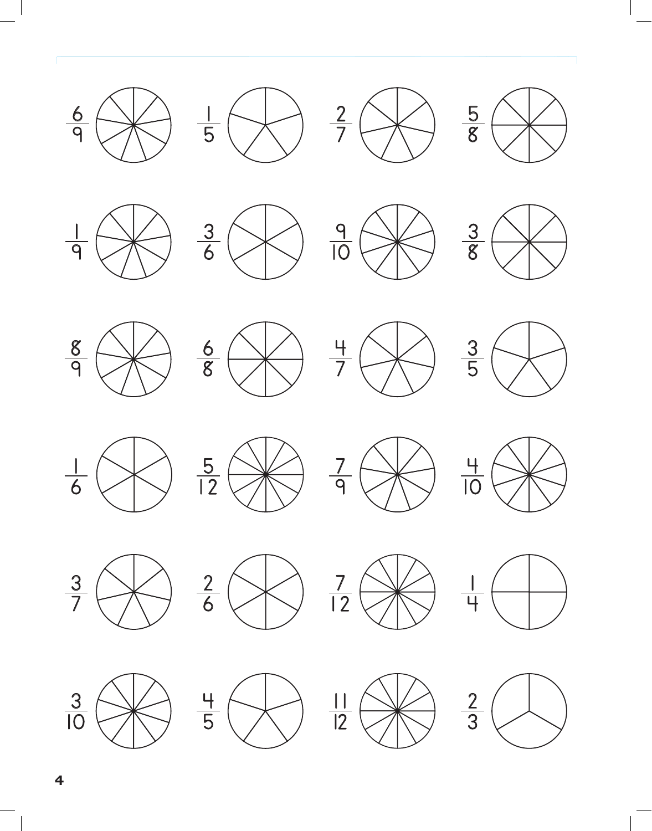























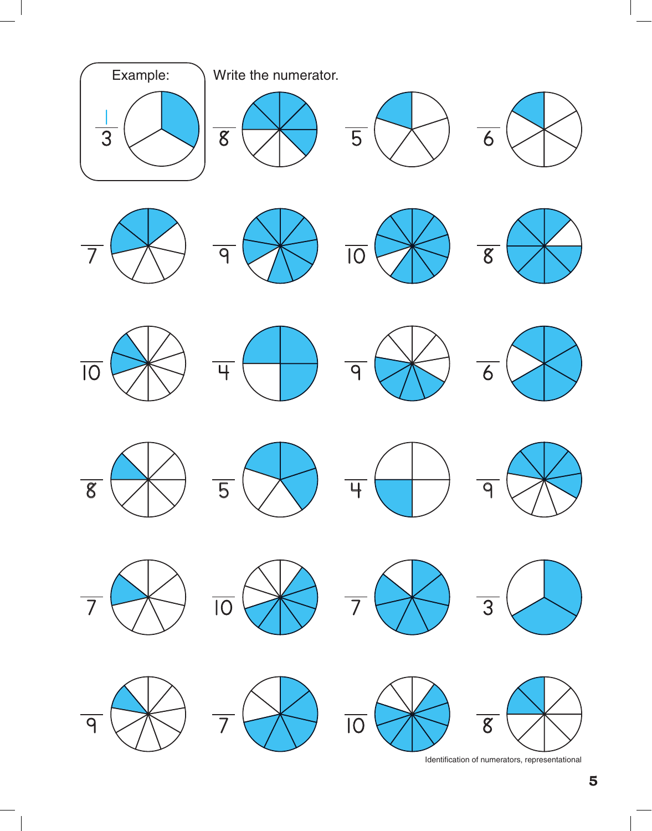